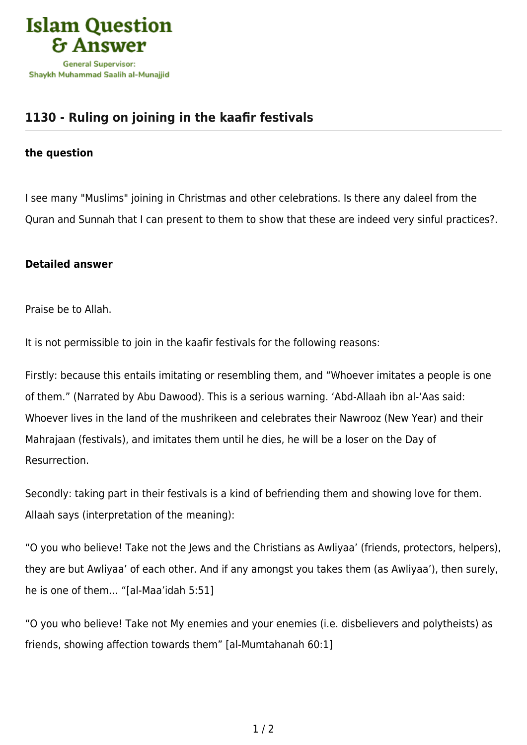

## **[1130 - Ruling on joining in the kaafir festivals](https://islamqa.com/en/answers/1130/ruling-on-joining-in-the-kaafir-festivals)**

## **the question**

I see many "Muslims" joining in Christmas and other celebrations. Is there any daleel from the Quran and Sunnah that I can present to them to show that these are indeed very sinful practices?.

## **Detailed answer**

Praise be to Allah.

It is not permissible to join in the kaafir festivals for the following reasons:

Firstly: because this entails imitating or resembling them, and "Whoever imitates a people is one of them." (Narrated by Abu Dawood). This is a serious warning. 'Abd-Allaah ibn al-'Aas said: Whoever lives in the land of the mushrikeen and celebrates their Nawrooz (New Year) and their Mahrajaan (festivals), and imitates them until he dies, he will be a loser on the Day of Resurrection.

Secondly: taking part in their festivals is a kind of befriending them and showing love for them. Allaah says (interpretation of the meaning):

"O you who believe! Take not the Jews and the Christians as Awliyaa' (friends, protectors, helpers), they are but Awliyaa' of each other. And if any amongst you takes them (as Awliyaa'), then surely, he is one of them… "[al-Maa'idah 5:51]

"O you who believe! Take not My enemies and your enemies (i.e. disbelievers and polytheists) as friends, showing affection towards them" [al-Mumtahanah 60:1]